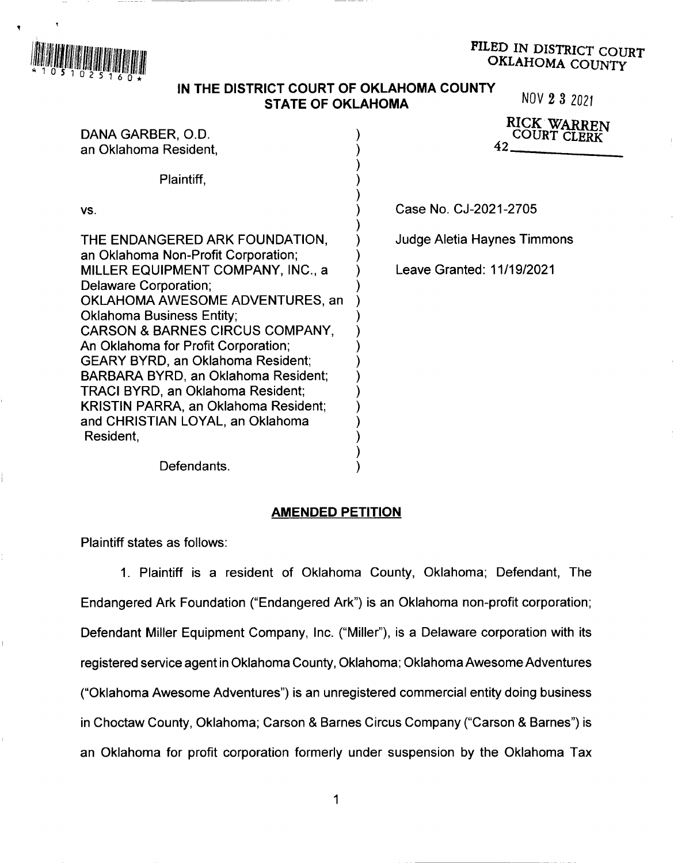

# PILED IN DISTRICT COURT OKLAHOMA COUNTY

# **IN THE DISTRICT COURT OF OKLAHOMA COUNTY STATE OF OKLAHOMA** NOV 2 3 2021

| DANA GARBER, O.D.<br>an Oklahoma Resident.                                                                                                                                                                                                                                                                                                                                                                                                                                                   | RICK WARREN<br><b>COURT CLERK</b><br>42. |
|----------------------------------------------------------------------------------------------------------------------------------------------------------------------------------------------------------------------------------------------------------------------------------------------------------------------------------------------------------------------------------------------------------------------------------------------------------------------------------------------|------------------------------------------|
| Plaintiff,                                                                                                                                                                                                                                                                                                                                                                                                                                                                                   |                                          |
| VS.                                                                                                                                                                                                                                                                                                                                                                                                                                                                                          | Case No. CJ-2021-2705                    |
| THE ENDANGERED ARK FOUNDATION,                                                                                                                                                                                                                                                                                                                                                                                                                                                               | Judge Aletia Haynes Timmons              |
| an Oklahoma Non-Profit Corporation;<br>MILLER EQUIPMENT COMPANY, INC., a<br>Delaware Corporation;<br>OKLAHOMA AWESOME ADVENTURES, an<br><b>Oklahoma Business Entity;</b><br><b>CARSON &amp; BARNES CIRCUS COMPANY,</b><br>An Oklahoma for Profit Corporation;<br><b>GEARY BYRD, an Oklahoma Resident;</b><br>BARBARA BYRD, an Oklahoma Resident;<br><b>TRACI BYRD, an Oklahoma Resident;</b><br><b>KRISTIN PARRA, an Oklahoma Resident;</b><br>and CHRISTIAN LOYAL, an Oklahoma<br>Resident, | Leave Granted: 11/19/2021                |

Defendants.

#### **AMENDED PETITION**

) )

Plaintiff states as follows:

1. Plaintiff is a resident of Oklahoma County, Oklahoma; Defendant, The Endangered Ark Foundation ("Endangered Ark") is an Oklahoma non-profit corporation; Defendant Miller Equipment Company, Inc. ("Miller"), is a Delaware corporation with its registered service agent in Oklahoma County, Oklahoma; Oklahoma Awesome Adventures ("Oklahoma Awesome Adventures") is an unregistered commercial entity doing business in Choctaw County, Oklahoma; Carson & Barnes Circus Company ("Carson & Barnes") is an Oklahoma for profit corporation formerly under suspension by the Oklahoma Tax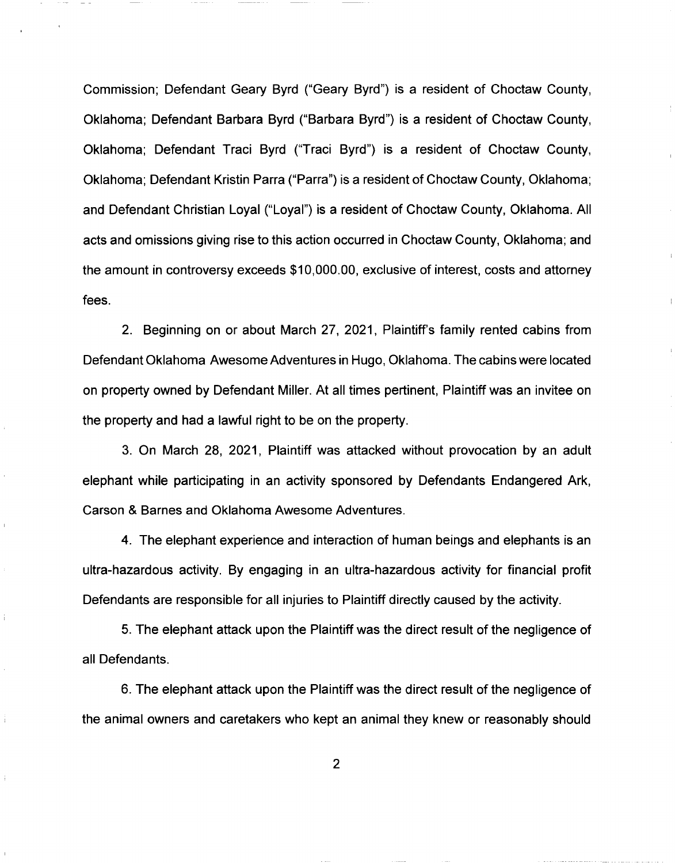Commission; Defendant Geary Byrd ("Geary Byrd") is a resident of Choctaw County, Oklahoma; Defendant Barbara Byrd ("Barbara Byrd") is a resident of Choctaw County, Oklahoma; Defendant Traci Byrd ("Traci Byrd") is a resident of Choctaw County, Oklahoma; Defendant Kristin Parra ("Parra") is a resident of Choctaw County, Oklahoma; and Defendant Christian Loyal ("Loyal") is a resident of Choctaw County, Oklahoma. All acts and omissions giving rise to this action occurred in Choctaw County, Oklahoma; and the amount in controversy exceeds \$10,000.00, exclusive of interest, costs and attorney fees.

2. Beginning on or about March 27, 2021, Plaintiff's family rented cabins from Defendant Oklahoma Awesome Adventures in Hugo, Oklahoma. The cabins were located on property owned by Defendant Miller. At all times pertinent, Plaintiff was an invitee on the property and had a lawful right to be on the property.

3. On March 28, 2021, Plaintiff was attacked without provocation by an adult elephant while participating in an activity sponsored by Defendants Endangered Ark, Carson & Barnes and Oklahoma Awesome Adventures.

4. The elephant experience and interaction of human beings and elephants is an ultra-hazardous activity. By engaging in an ultra-hazardous activity for financial profit Defendants are responsible for all injuries to Plaintiff directly caused by the activity.

5. The elephant attack upon the Plaintiff was the direct result of the negligence of all Defendants.

Ť.

6. The elephant attack upon the Plaintiff was the direct result of the negligence of the animal owners and caretakers who kept an animal they knew or reasonably should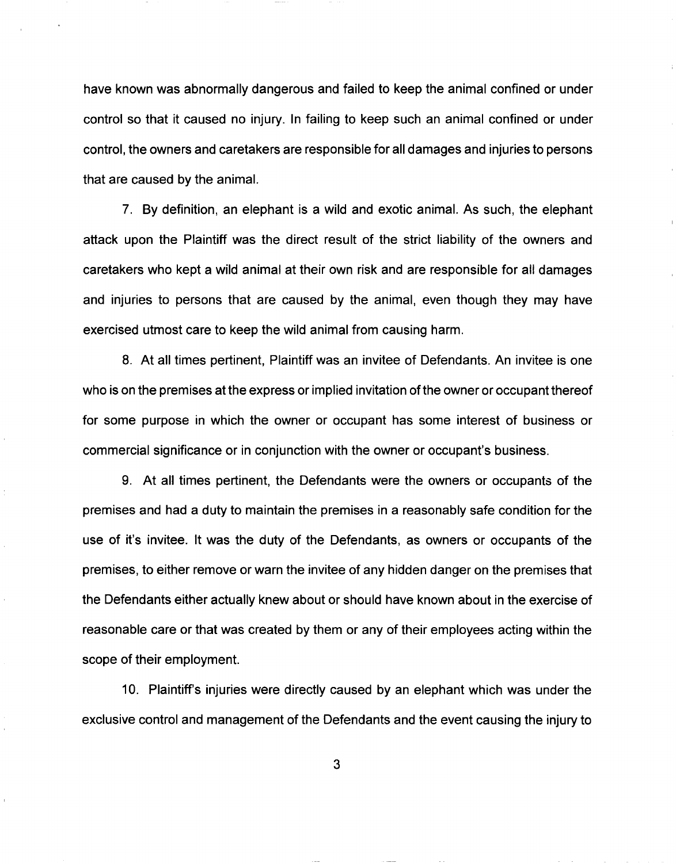have known was abnormally dangerous and failed to keep the animal confined or under control so that it caused no injury. In failing to keep such an animal confined or under control, the owners and caretakers are responsible for all damages and injuries to persons that are caused by the animal.

7. By definition, an elephant is a wild and exotic animal. As such, the elephant attack upon the Plaintiff was the direct result of the strict liability of the owners and caretakers who kept a wild animal at their own risk and are responsible for all damages and injuries to persons that are caused by the animal, even though they may have exercised utmost care to keep the wild animal from causing harm.

8. At all times pertinent, Plaintiff was an invitee of Defendants. An invitee is one who is on the premises at the express or implied invitation of the owner or occupant thereof for some purpose in which the owner or occupant has some interest of business or commercial significance or in conjunction with the owner or occupant's business.

9. At all times pertinent, the Defendants were the owners or occupants of the premises and had a duty to maintain the premises in a reasonably safe condition for the use of it's invitee. It was the duty of the Defendants, as owners or occupants of the premises, to either remove or warn the invitee of any hidden danger on the premises that the Defendants either actually knew about or should have known about in the exercise of reasonable care or that was created by them or any of their employees acting within the scope of their employment.

10. Plaintiff's injuries were directly caused by an elephant which was under the exclusive control and management of the Defendants and the event causing the injury to

3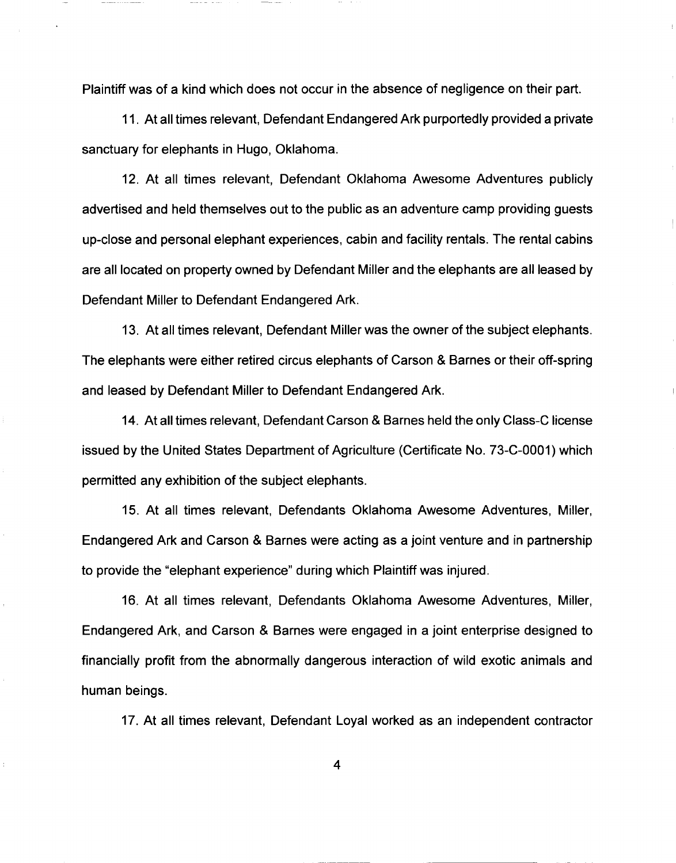Plaintiff was of a kind which does not occur in the absence of negligence on their part.

11. At all times relevant, Defendant Endangered Ark purportedly provided a private sanctuary for elephants in Hugo, Oklahoma.

12. At all times relevant, Defendant Oklahoma Awesome Adventures publicly advertised and held themselves out to the public as an adventure camp providing guests up-close and personal elephant experiences, cabin and facility rentals. The rental cabins are all located on property owned by Defendant Miller and the elephants are all leased by Defendant Miller to Defendant Endangered Ark.

13. At all times relevant, Defendant Miller was the owner of the subject elephants. The elephants were either retired circus elephants of Carson & Barnes or their off-spring and leased by Defendant Miller to Defendant Endangered Ark.

14. At all times relevant, Defendant Carson & Barnes held the only Class-C license issued by the United States Department of Agriculture (Certificate No. 73-C-0001) which permitted any exhibition of the subject elephants.

15. At all times relevant, Defendants Oklahoma Awesome Adventures, Miller, Endangered Ark and Carson & Barnes were acting as a joint venture and in partnership to provide the "elephant experience" during which Plaintiff was injured.

16. At all times relevant, Defendants Oklahoma Awesome Adventures, Miller, Endangered Ark, and Carson & Barnes were engaged in a joint enterprise designed to financially profit from the abnormally dangerous interaction of wild exotic animals and human beings.

17. At all times relevant, Defendant Loyal worked as an independent contractor

4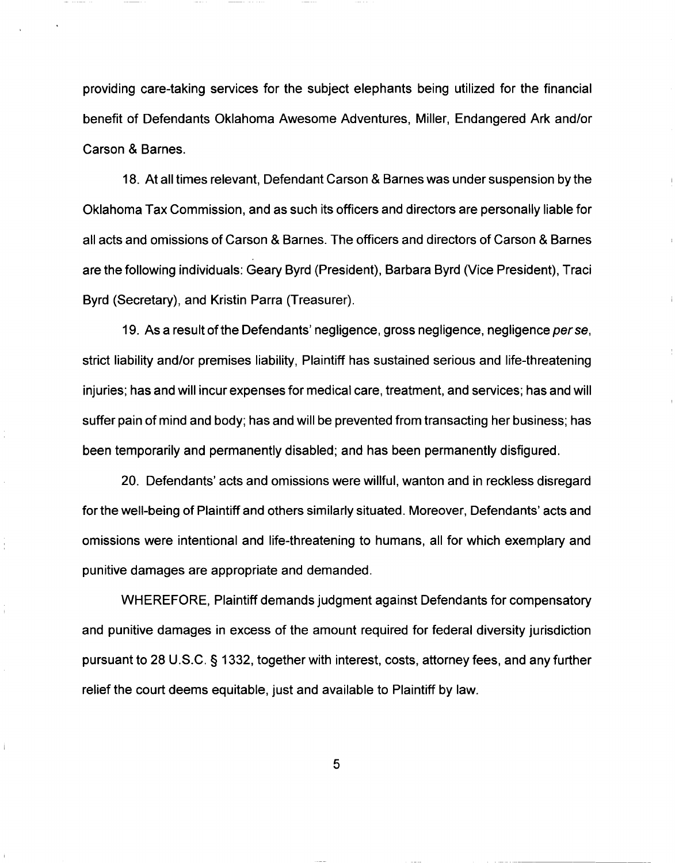providing care-taking services for the subject elephants being utilized for the financial benefit of Defendants Oklahoma Awesome Adventures, Miller, Endangered Ark and/or Carson & Barnes.

18. At all times relevant, Defendant Carson & Barnes was under suspension by the Oklahoma Tax Commission, and as such its officers and directors are personally liable for all acts and omissions of Carson & Barnes. The officers and directors of Carson & Barnes are the following individuals: Geary Byrd (President), Barbara Byrd (Vice President), Traci Byrd (Secretary), and Kristin Parra (Treasurer).

19. As a result of the Defendants' negligence, gross negligence, negligence per se, strict liability and/or premises liability, Plaintiff has sustained serious and life-threatening injuries; has and will incur expenses for medical care, treatment, and services; has and will suffer pain of mind and body; has and will be prevented from transacting her business; has been temporarily and permanently disabled; and has been permanently disfigured.

20. Defendants' acts and omissions were willful, wanton and in reckless disregard for the well-being of Plaintiff and others similarly situated. Moreover, Defendants' acts and omissions were intentional and life-threatening to humans, all for which exemplary and punitive damages are appropriate and demanded.

WHEREFORE, Plaintiff demands judgment against Defendants for compensatory and punitive damages in excess of the amount required for federal diversity jurisdiction pursuant to 28 U.S.C. § 1332, together with interest, costs, attorney fees, and any further relief the court deems equitable, just and available to Plaintiff by law.

5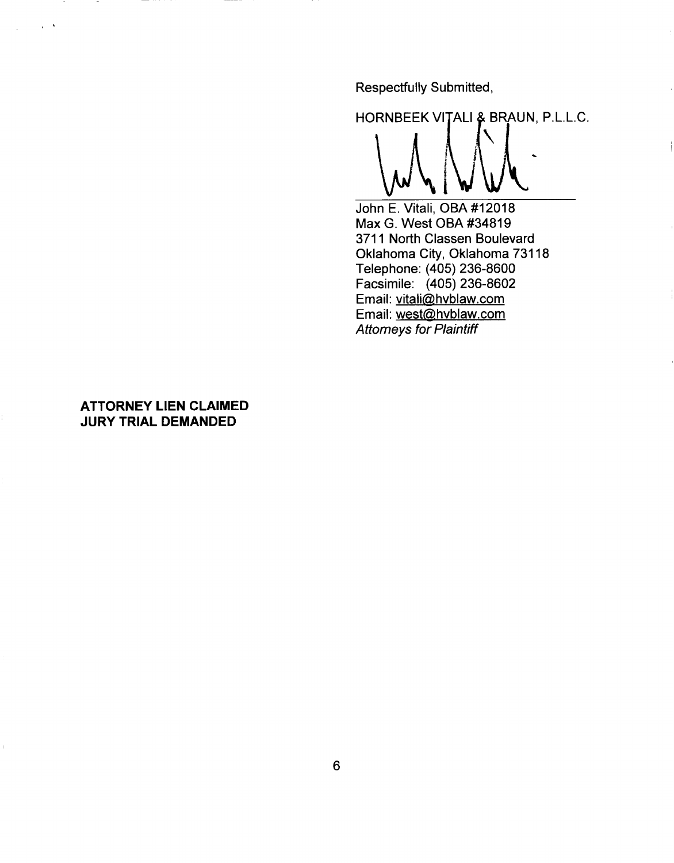Respectfully Submitted,

HORNBEEK VITALI & BRAUN, P.L.L.C.

John E. Vitali, OBA #12018 Max G. West OBA #34819 3711 North Classen Boulevard Oklahoma City, Oklahoma 73118 Telephone: (405) 236-8600 Facsimile: (405) 236-8602 Email: vitali@hvblaw.com Email: west@hvblaw.com Attorneys for Plaintiff

## **ATTORNEY LIEN CLAIMED JURY TRIAL DEMANDED**

 $\sim$